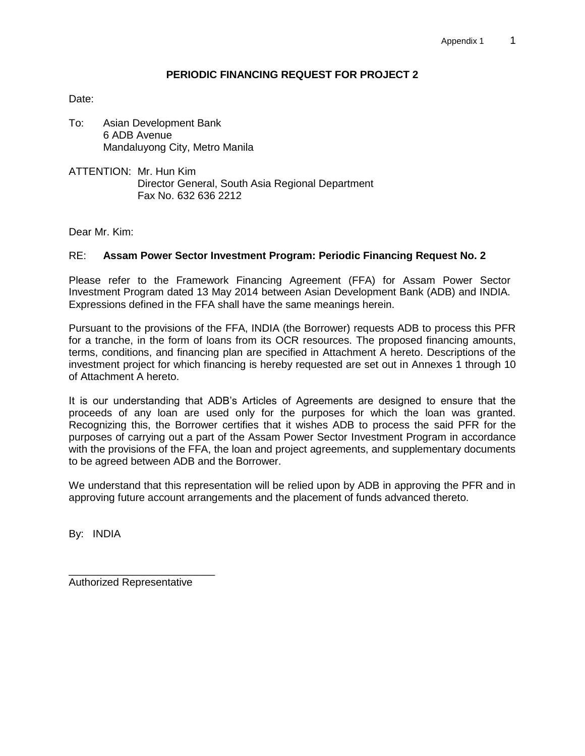### **PERIODIC FINANCING REQUEST FOR PROJECT 2**

Date:

- To: Asian Development Bank 6 ADB Avenue Mandaluyong City, Metro Manila
- ATTENTION: Mr. Hun Kim Director General, South Asia Regional Department Fax No. 632 636 2212

Dear Mr. Kim:

#### RE: **Assam Power Sector Investment Program: Periodic Financing Request No. 2**

Please refer to the Framework Financing Agreement (FFA) for Assam Power Sector Investment Program dated 13 May 2014 between Asian Development Bank (ADB) and INDIA. Expressions defined in the FFA shall have the same meanings herein.

Pursuant to the provisions of the FFA, INDIA (the Borrower) requests ADB to process this PFR for a tranche, in the form of loans from its OCR resources. The proposed financing amounts, terms, conditions, and financing plan are specified in Attachment A hereto. Descriptions of the investment project for which financing is hereby requested are set out in Annexes 1 through 10 of Attachment A hereto.

It is our understanding that ADB's Articles of Agreements are designed to ensure that the proceeds of any loan are used only for the purposes for which the loan was granted. Recognizing this, the Borrower certifies that it wishes ADB to process the said PFR for the purposes of carrying out a part of the Assam Power Sector Investment Program in accordance with the provisions of the FFA, the loan and project agreements, and supplementary documents to be agreed between ADB and the Borrower.

We understand that this representation will be relied upon by ADB in approving the PFR and in approving future account arrangements and the placement of funds advanced thereto.

By: INDIA

Authorized Representative

\_\_\_\_\_\_\_\_\_\_\_\_\_\_\_\_\_\_\_\_\_\_\_\_\_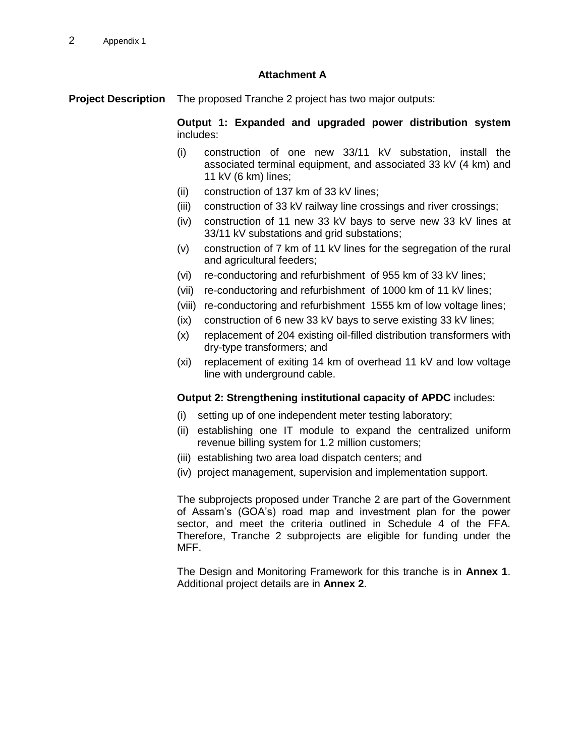## **Attachment A**

**Project Description** The proposed Tranche 2 project has two major outputs:

**Output 1: Expanded and upgraded power distribution system** includes:

- (i) construction of one new 33/11 kV substation, install the associated terminal equipment, and associated 33 kV (4 km) and 11 kV (6 km) lines;
- (ii) construction of 137 km of 33 kV lines;
- (iii) construction of 33 kV railway line crossings and river crossings;
- (iv) construction of 11 new 33 kV bays to serve new 33 kV lines at 33/11 kV substations and grid substations;
- (v) construction of 7 km of 11 kV lines for the segregation of the rural and agricultural feeders;
- (vi) re-conductoring and refurbishment of 955 km of 33 kV lines;
- (vii) re-conductoring and refurbishment of 1000 km of 11 kV lines;
- (viii) re-conductoring and refurbishment 1555 km of low voltage lines;
- (ix) construction of 6 new 33 kV bays to serve existing 33 kV lines;
- (x) replacement of 204 existing oil-filled distribution transformers with dry-type transformers; and
- (xi) replacement of exiting 14 km of overhead 11 kV and low voltage line with underground cable.

#### **Output 2: Strengthening institutional capacity of APDC** includes:

- (i) setting up of one independent meter testing laboratory;
- (ii) establishing one IT module to expand the centralized uniform revenue billing system for 1.2 million customers;
- (iii) establishing two area load dispatch centers; and
- (iv) project management, supervision and implementation support.

The subprojects proposed under Tranche 2 are part of the Government of Assam's (GOA's) road map and investment plan for the power sector, and meet the criteria outlined in Schedule 4 of the FFA. Therefore, Tranche 2 subprojects are eligible for funding under the MFF.

The Design and Monitoring Framework for this tranche is in **Annex 1**. Additional project details are in **Annex 2**.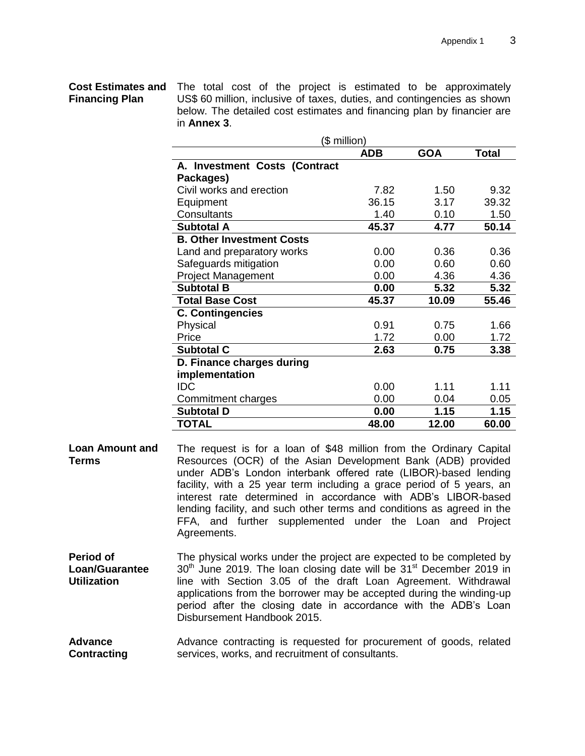# **Financing Plan**

**Cost Estimates and**  The total cost of the project is estimated to be approximately US\$ 60 million, inclusive of taxes, duties, and contingencies as shown below. The detailed cost estimates and financing plan by financier are in **Annex 3**.

| (\$ million)                     |            |            |       |  |
|----------------------------------|------------|------------|-------|--|
|                                  | <b>ADB</b> | <b>GOA</b> | Total |  |
| A. Investment Costs (Contract    |            |            |       |  |
| Packages)                        |            |            |       |  |
| Civil works and erection         | 7.82       | 1.50       | 9.32  |  |
| Equipment                        | 36.15      | 3.17       | 39.32 |  |
| Consultants                      | 1.40       | 0.10       | 1.50  |  |
| <b>Subtotal A</b>                | 45.37      | 4.77       | 50.14 |  |
| <b>B. Other Investment Costs</b> |            |            |       |  |
| Land and preparatory works       | 0.00       | 0.36       | 0.36  |  |
| Safeguards mitigation            | 0.00       | 0.60       | 0.60  |  |
| <b>Project Management</b>        | 0.00       | 4.36       | 4.36  |  |
| <b>Subtotal B</b>                | 0.00       | 5.32       | 5.32  |  |
| <b>Total Base Cost</b>           | 45.37      | 10.09      | 55.46 |  |
| <b>C. Contingencies</b>          |            |            |       |  |
| Physical                         | 0.91       | 0.75       | 1.66  |  |
| Price                            | 1.72       | 0.00       | 1.72  |  |
| <b>Subtotal C</b>                | 2.63       | 0.75       | 3.38  |  |
| D. Finance charges during        |            |            |       |  |
| implementation                   |            |            |       |  |
| <b>IDC</b>                       | 0.00       | 1.11       | 1.11  |  |
| Commitment charges               | 0.00       | 0.04       | 0.05  |  |
| <b>Subtotal D</b>                | 0.00       | 1.15       | 1.15  |  |
| <b>TOTAL</b>                     | 48.00      | 12.00      | 60.00 |  |

- **Loan Amount and Terms** The request is for a loan of \$48 million from the Ordinary Capital Resources (OCR) of the Asian Development Bank (ADB) provided under ADB's London interbank offered rate (LIBOR)-based lending facility, with a 25 year term including a grace period of 5 years, an interest rate determined in accordance with ADB's LIBOR-based lending facility, and such other terms and conditions as agreed in the FFA, and further supplemented under the Loan and Project Agreements.
- **Period of Loan/Guarantee Utilization** The physical works under the project are expected to be completed by  $30<sup>th</sup>$  June 2019. The loan closing date will be  $31<sup>st</sup>$  December 2019 in line with Section 3.05 of the draft Loan Agreement. Withdrawal applications from the borrower may be accepted during the winding-up period after the closing date in accordance with the ADB's Loan Disbursement Handbook 2015.
- **Advance Contracting** Advance contracting is requested for procurement of goods, related services, works, and recruitment of consultants.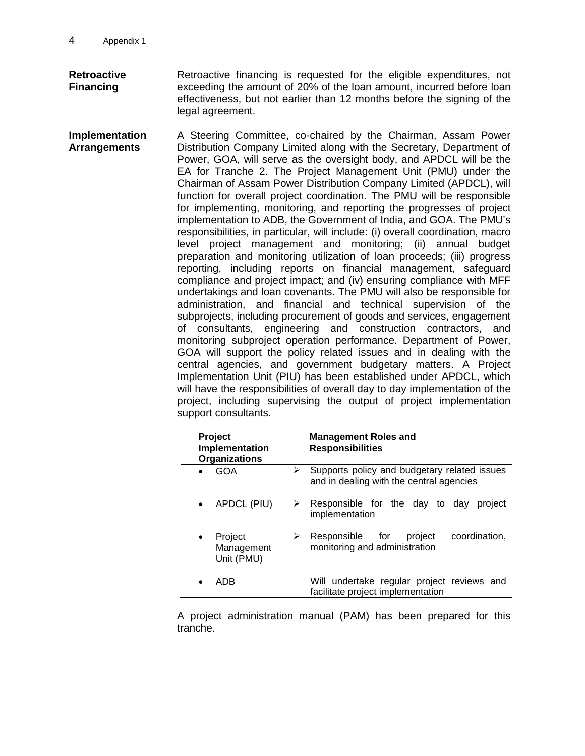**Retroactive Financing** Retroactive financing is requested for the eligible expenditures, not exceeding the amount of 20% of the loan amount, incurred before loan effectiveness, but not earlier than 12 months before the signing of the legal agreement.

**Implementation Arrangements** A Steering Committee, co-chaired by the Chairman, Assam Power Distribution Company Limited along with the Secretary, Department of Power, GOA, will serve as the oversight body, and APDCL will be the EA for Tranche 2. The Project Management Unit (PMU) under the Chairman of Assam Power Distribution Company Limited (APDCL), will function for overall project coordination. The PMU will be responsible for implementing, monitoring, and reporting the progresses of project implementation to ADB, the Government of India, and GOA. The PMU's responsibilities, in particular, will include: (i) overall coordination, macro level project management and monitoring; (ii) annual budget preparation and monitoring utilization of loan proceeds; (iii) progress reporting, including reports on financial management, safeguard compliance and project impact; and (iv) ensuring compliance with MFF undertakings and loan covenants. The PMU will also be responsible for administration, and financial and technical supervision of the subprojects, including procurement of goods and services, engagement of consultants, engineering and construction contractors, and monitoring subproject operation performance. Department of Power, GOA will support the policy related issues and in dealing with the central agencies, and government budgetary matters. A Project Implementation Unit (PIU) has been established under APDCL, which will have the responsibilities of overall day to day implementation of the project, including supervising the output of project implementation support consultants.

| <b>Project</b><br>Implementation<br><b>Organizations</b> | <b>Management Roles and</b><br><b>Responsibilities</b>                                        |  |
|----------------------------------------------------------|-----------------------------------------------------------------------------------------------|--|
| <b>GOA</b>                                               | Supports policy and budgetary related issues<br>➤<br>and in dealing with the central agencies |  |
| APDCL (PIU)                                              | Responsible for the day to<br>➤<br>project<br>dav<br>implementation                           |  |
| Project<br>Management<br>Unit (PMU)                      | coordination.<br>Responsible for<br>project<br>➤<br>monitoring and administration             |  |
| ADB                                                      | Will undertake regular project reviews and<br>facilitate project implementation               |  |

A project administration manual (PAM) has been prepared for this tranche.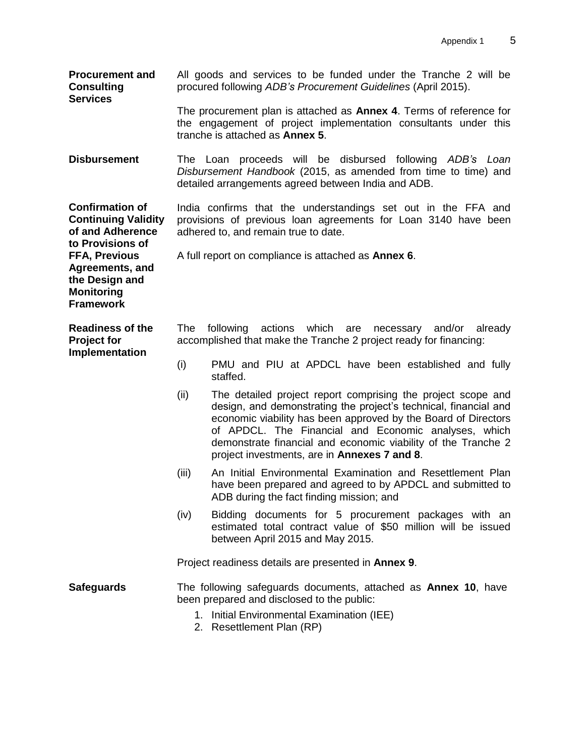| <b>Procurement and</b><br><b>Consulting</b><br><b>Services</b>                                                                                                                                     | All goods and services to be funded under the Tranche 2 will be<br>procured following ADB's Procurement Guidelines (April 2015).                                                          |                                                                                                                                                                                                                                                                                                                                                                             |  |  |
|----------------------------------------------------------------------------------------------------------------------------------------------------------------------------------------------------|-------------------------------------------------------------------------------------------------------------------------------------------------------------------------------------------|-----------------------------------------------------------------------------------------------------------------------------------------------------------------------------------------------------------------------------------------------------------------------------------------------------------------------------------------------------------------------------|--|--|
|                                                                                                                                                                                                    | The procurement plan is attached as <b>Annex 4</b> . Terms of reference for<br>the engagement of project implementation consultants under this<br>tranche is attached as <b>Annex 5</b> . |                                                                                                                                                                                                                                                                                                                                                                             |  |  |
| <b>Disbursement</b>                                                                                                                                                                                |                                                                                                                                                                                           | The Loan proceeds will be disbursed following ADB's<br>Loan<br>Disbursement Handbook (2015, as amended from time to time) and<br>detailed arrangements agreed between India and ADB.                                                                                                                                                                                        |  |  |
| <b>Confirmation of</b><br><b>Continuing Validity</b><br>of and Adherence<br>to Provisions of<br><b>FFA, Previous</b><br>Agreements, and<br>the Design and<br><b>Monitoring</b><br><b>Framework</b> | India confirms that the understandings set out in the FFA and<br>provisions of previous loan agreements for Loan 3140 have been<br>adhered to, and remain true to date.                   |                                                                                                                                                                                                                                                                                                                                                                             |  |  |
|                                                                                                                                                                                                    |                                                                                                                                                                                           | A full report on compliance is attached as <b>Annex 6</b> .                                                                                                                                                                                                                                                                                                                 |  |  |
| <b>Readiness of the</b><br><b>Project for</b><br>Implementation                                                                                                                                    | The<br>actions which<br>following<br>are<br>necessary<br>and/or<br>already<br>accomplished that make the Tranche 2 project ready for financing:                                           |                                                                                                                                                                                                                                                                                                                                                                             |  |  |
|                                                                                                                                                                                                    | (i)                                                                                                                                                                                       | PMU and PIU at APDCL have been established and fully<br>staffed.                                                                                                                                                                                                                                                                                                            |  |  |
|                                                                                                                                                                                                    | (ii)                                                                                                                                                                                      | The detailed project report comprising the project scope and<br>design, and demonstrating the project's technical, financial and<br>economic viability has been approved by the Board of Directors<br>of APDCL. The Financial and Economic analyses, which<br>demonstrate financial and economic viability of the Tranche 2<br>project investments, are in Annexes 7 and 8. |  |  |
|                                                                                                                                                                                                    | (iii)                                                                                                                                                                                     | An Initial Environmental Examination and Resettlement Plan<br>have been prepared and agreed to by APDCL and submitted to<br>ADB during the fact finding mission; and                                                                                                                                                                                                        |  |  |
|                                                                                                                                                                                                    | (iv)                                                                                                                                                                                      | Bidding documents for 5 procurement packages with an<br>estimated total contract value of \$50 million will be issued<br>between April 2015 and May 2015.                                                                                                                                                                                                                   |  |  |
|                                                                                                                                                                                                    |                                                                                                                                                                                           | Project readiness details are presented in Annex 9.                                                                                                                                                                                                                                                                                                                         |  |  |
| <b>Safeguards</b>                                                                                                                                                                                  | The following safeguards documents, attached as <b>Annex 10</b> , have<br>been prepared and disclosed to the public:<br>1. Initial Environmental Examination (IEE)                        |                                                                                                                                                                                                                                                                                                                                                                             |  |  |

2. Resettlement Plan (RP)